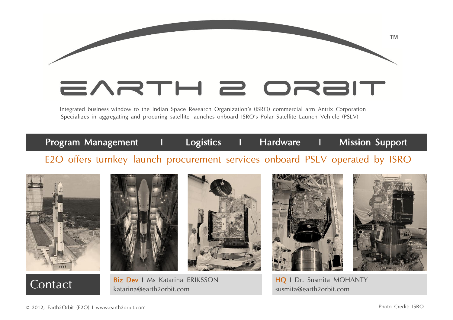## EARTH 2 ORBIT

Integrated business window to the Indian Space Research Organization's (ISRO) commercial arm Antrix Corporation Specializes in aggregating and procuring satellite launches onboard ISRO's Polar Satellite Launch Vehicle (PSLV)

## E2O offers turnkey launch procurement services onboard PSLV operated by ISRO Program Management I Logistics I Hardware I Mission Support













™